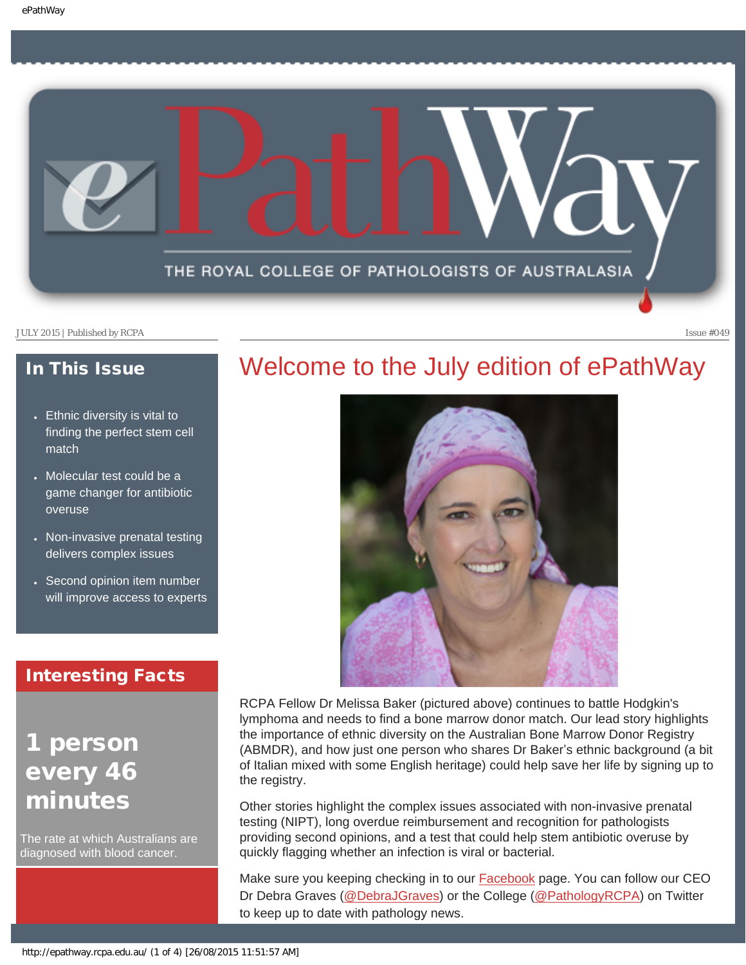

### In This Issue

- [Ethnic diversity is vital to](#page-1-0) [finding the perfect stem cell](#page-1-0)  [match](#page-1-0)
- [Molecular test could be a](#page-1-1) [game changer for antibiotic](#page-1-1)  [overuse](#page-1-1)
- [Non-invasive prenatal testing](#page-2-0) [delivers complex issues](#page-2-0)
- [Second opinion item number](#page-2-1) [will improve access to experts](#page-2-1)

### Interesting Facts

## person every 46 minutes

The rate at which Australians are diagnosed with blood cancer.

### Welcome to the July edition of ePathWay



RCPA Fellow Dr Melissa Baker (pictured above) continues to battle Hodgkin's lymphoma and needs to find a bone marrow donor match. Our lead story highlights the importance of ethnic diversity on the Australian Bone Marrow Donor Registry (ABMDR), and how just one person who shares Dr Baker's ethnic background (a bit of Italian mixed with some English heritage) could help save her life by signing up to the registry.

Other stories highlight the complex issues associated with non-invasive prenatal testing (NIPT), long overdue reimbursement and recognition for pathologists providing second opinions, and a test that could help stem antibiotic overuse by quickly flagging whether an infection is viral or bacterial.

Make sure you keeping checking in to our [Facebook](https://www.facebook.com/TheRoyalCollegeOfPathologistsOfAustralasia) page. You can follow our CEO Dr Debra Graves [\(@DebraJGraves\)](https://twitter.com/DebraJGraves) or the College ([@PathologyRCPA](https://twitter.com/PathologyRCPA)) on Twitter to keep up to date with pathology news.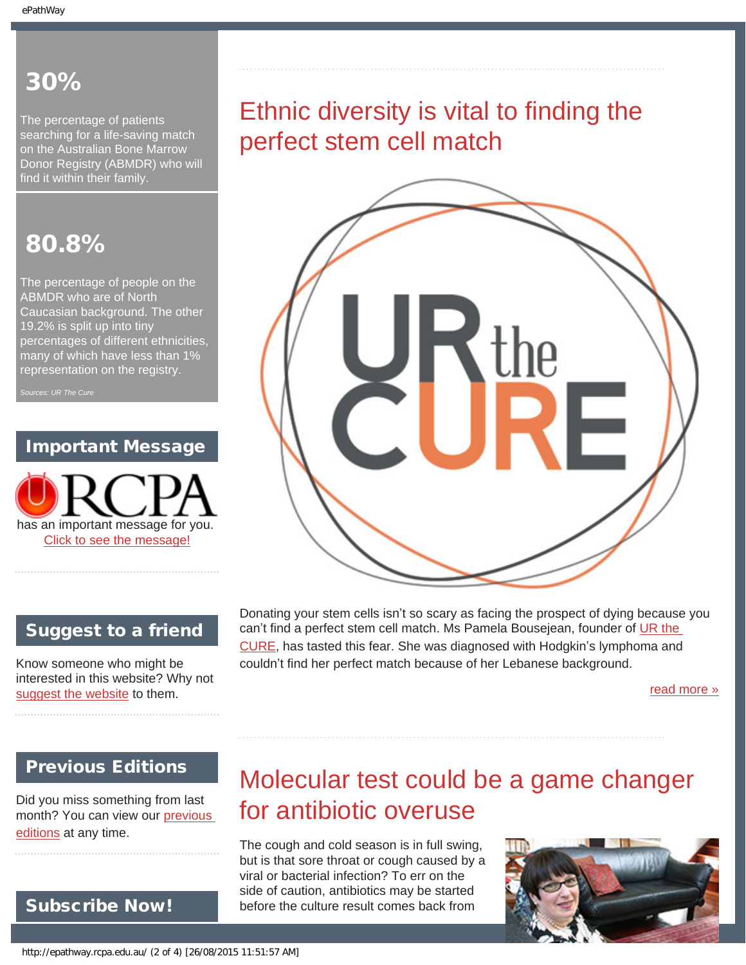### 30%

<span id="page-1-0"></span>The percentage of patients searching for a life-saving match on the Australian Bone Marrow Donor Registry (ABMDR) who will find it within their family.

### 80.8%

The percentage of people on the ABMDR who are of North Caucasian background. The other 19.2% is split up into tiny percentages of different ethnicities, many of which have less than 1% representation on the registry.

### Important Message



### Suggest to a friend

Know someone who might be interested in this website? Why not [suggest the website](mailto:?Subject=I%20think%20you%20should%20read%20this%20Newsletter=
http://epathway.rcpa.edu.au/index.html) to them.

Donating your stem cells isn't so scary as facing the prospect of dying because you can't find a perfect stem cell match. Ms Pamela Bousejean, founder of UR the [CURE](http://www.urthecure.com.au/), has tasted this fear. She was diagnosed with Hodgkin's lymphoma and couldn't find her perfect match because of her Lebanese background.

[read more »](#page-7-0)

### <span id="page-1-1"></span>Previous Editions

Did you miss something from last month? You can view our [previous](#page-5-0) [editions](#page-5-0) at any time.

# Molecular test could be a game changer for antibiotic overuse

The cough and cold season is in full swing, but is that sore throat or cough caused by a viral or bacterial infection? To err on the side of caution, antibiotics may be started before the culture result comes back from



Subscribe Now!

# Ethnic diversity is vital to finding the perfect stem cell match



http://epathway.rcpa.edu.au/ (2 of 4) [26/08/2015 11:51:57 AM]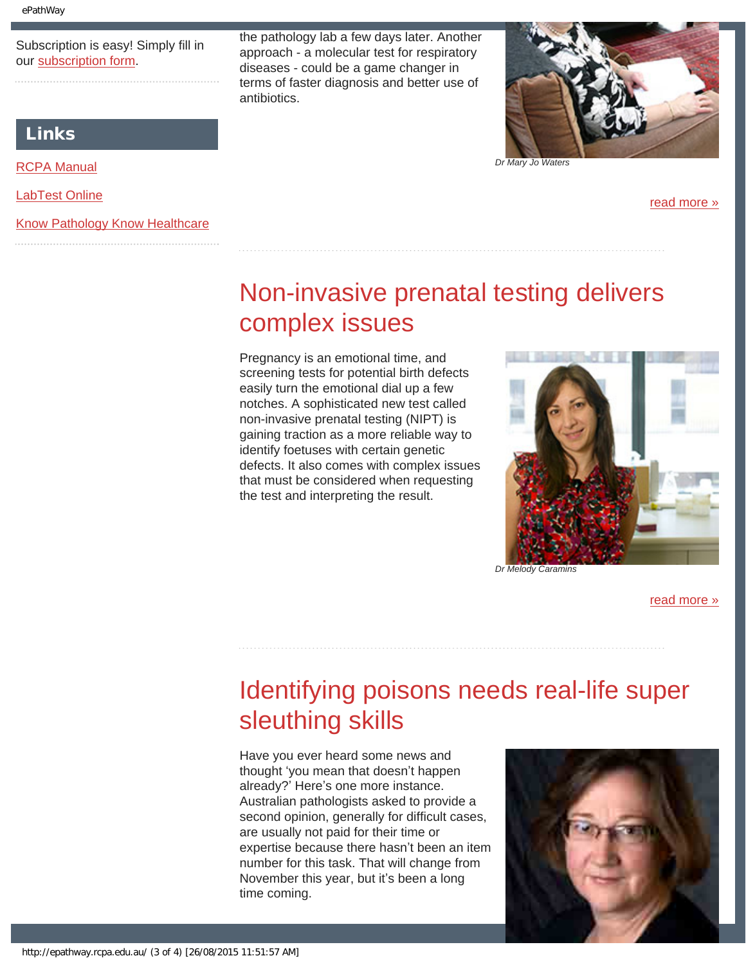Subscription is easy! Simply fill in our [subscription form](#page-9-0).

the pathology lab a few days later. Another approach - a molecular test for respiratory diseases - could be a game changer in terms of faster diagnosis and better use of antibiotics.



*Dr Mary Jo Waters*

[read more »](#page-10-0)

# Non-invasive prenatal testing delivers complex issues

Pregnancy is an emotional time, and screening tests for potential birth defects easily turn the emotional dial up a few notches. A sophisticated new test called non-invasive prenatal testing (NIPT) is gaining traction as a more reliable way to identify foetuses with certain genetic defects. It also comes with complex issues that must be considered when requesting the test and interpreting the result.



[read more »](#page-12-0)

# <span id="page-2-1"></span>Identifying poisons needs real-life super sleuthing skills

Have you ever heard some news and thought 'you mean that doesn't happen already?' Here's one more instance. Australian pathologists asked to provide a second opinion, generally for difficult cases, are usually not paid for their time or expertise because there hasn't been an item number for this task. That will change from November this year, but it's been a long time coming.



#### Links

[RCPA Manual](http://rcpamanual.edu.au/)

[LabTest Online](http://www.labtestsonline.org.au/)

<span id="page-2-0"></span>[Know Pathology Know Healthcare](http://knowpathology.com.au/)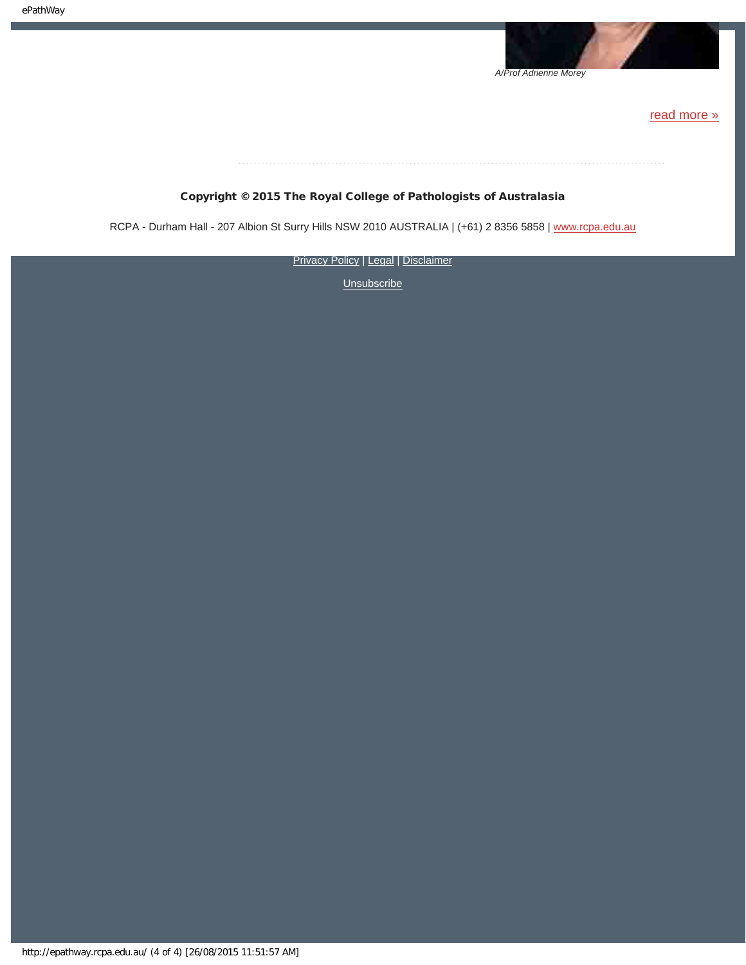*A/Prof Adrienne Morey*

[read more »](#page-14-0)

### 

#### Copyright © 2015 The Royal College of Pathologists of Australasia

RCPA - Durham Hall - 207 Albion St Surry Hills NSW 2010 AUSTRALIA | (+61) 2 8356 5858 | [www.rcpa.edu.au](http://www.rcpa.edu.au/)

**[Privacy Policy](http://www.rcpa.edu.au/Privacy-Policy.aspx) | [Legal](http://www.rcpa.edu.au/Legal.aspx) | [Disclaimer](http://www.rcpa.edu.au/Disclaimer.aspx)**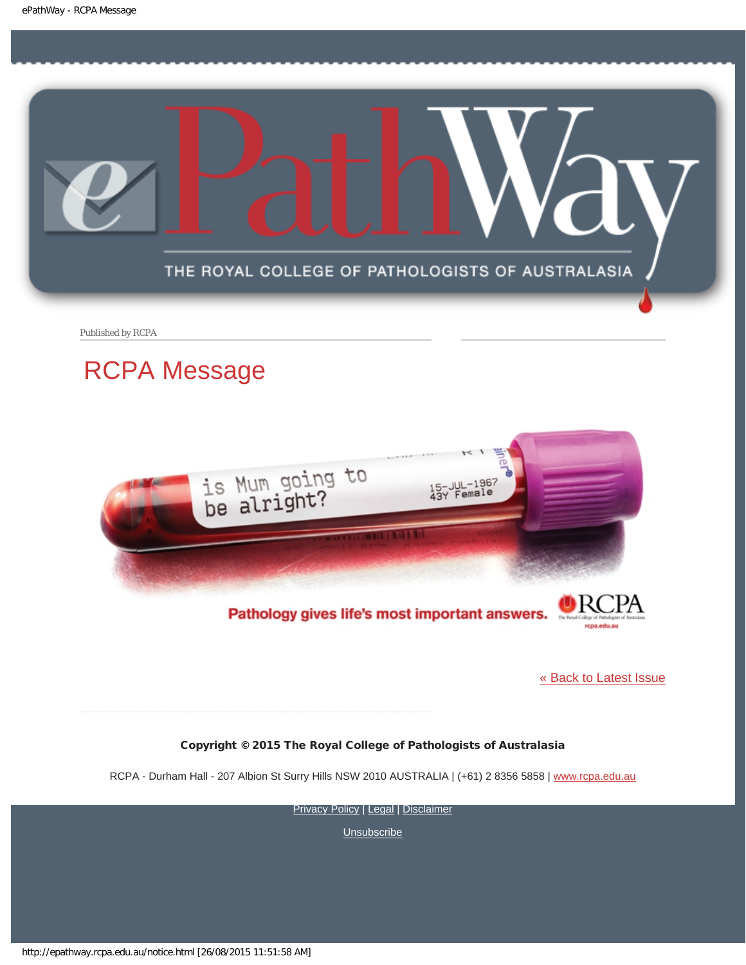<span id="page-4-0"></span>

Published by RCPA

### RCPA Message



#### Pathology gives life's most important answers.

[« Back to Latest Issue](http://epathway.rcpa.edu.au/index.html)

rcpa.edu.au

#### Copyright © 2015 The Royal College of Pathologists of Australasia

RCPA - Durham Hall - 207 Albion St Surry Hills NSW 2010 AUSTRALIA | (+61) 2 8356 5858 | [www.rcpa.edu.au](http://www.rcpa.edu.au/)

[Privacy Policy](http://www.rcpa.edu.au/Content-Library/Privacy.aspx) | [Legal](http://www.rcpa.edu.au/Legal.aspx) | [Disclaimer](http://www.rcpa.edu.au/Disclaimer.aspx)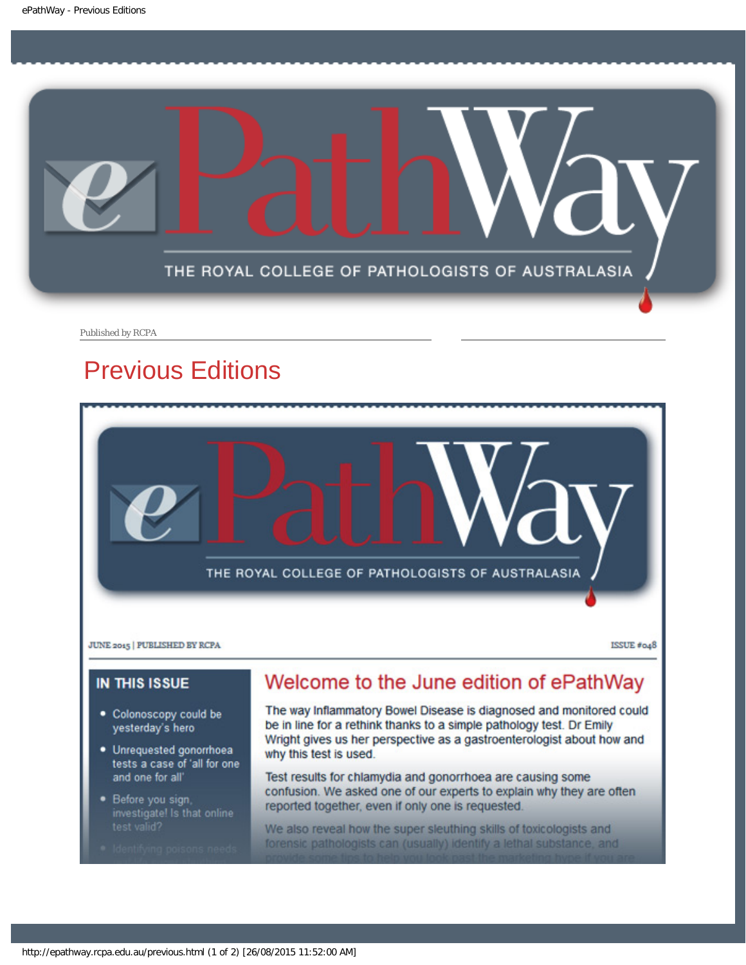<span id="page-5-0"></span>

Published by RCPA

# Previous Editions



- tests a case of 'all for one and one for all'
- Before you sign, investigate! Is that online
- 

#### Test results for chlamydia and gonorrhoea are causing some confusion. We asked one of our experts to explain why they are often reported together, even if only one is requested.

We also reveal how the super sleuthing skills of toxicologists and forensic pathologists can (usually) identify a lethal substance, and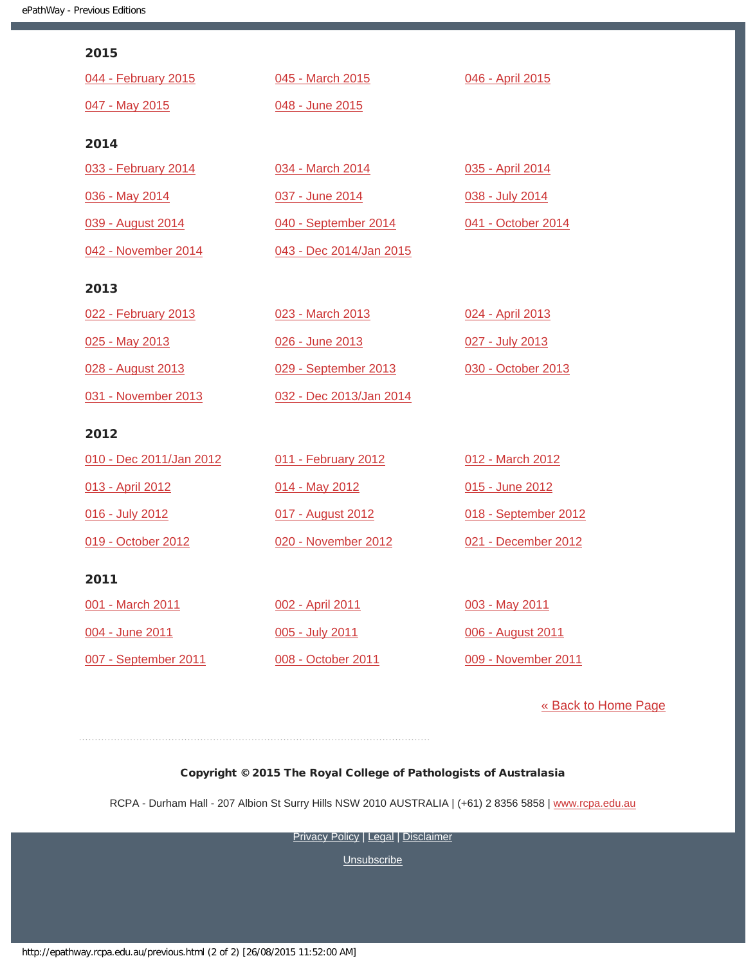| 2015                    |                         |                      |
|-------------------------|-------------------------|----------------------|
| 044 - February 2015     | 045 - March 2015        | 046 - April 2015     |
| 047 - May 2015          | 048 - June 2015         |                      |
| 2014                    |                         |                      |
| 033 - February 2014     | 034 - March 2014        | 035 - April 2014     |
| 036 - May 2014          | 037 - June 2014         | 038 - July 2014      |
| 039 - August 2014       | 040 - September 2014    | 041 - October 2014   |
| 042 - November 2014     | 043 - Dec 2014/Jan 2015 |                      |
| 2013                    |                         |                      |
| 022 - February 2013     | 023 - March 2013        | 024 - April 2013     |
| 025 - May 2013          | 026 - June 2013         | 027 - July 2013      |
| 028 - August 2013       | 029 - September 2013    | 030 - October 2013   |
| 031 - November 2013     | 032 - Dec 2013/Jan 2014 |                      |
| 2012                    |                         |                      |
| 010 - Dec 2011/Jan 2012 | 011 - February 2012     | 012 - March 2012     |
| 013 - April 2012        | 014 - May 2012          | 015 - June 2012      |
| 016 - July 2012         | 017 - August 2012       | 018 - September 2012 |
| 019 - October 2012      | 020 - November 2012     | 021 - December 2012  |
| 2011                    |                         |                      |
| 001 - March 2011        | 002 - April 2011        | 003 - May 2011       |
| 004 - June 2011         | 005 - July 2011         | 006 - August 2011    |
| 007 - September 2011    | 008 - October 2011      | 009 - November 2011  |
|                         |                         |                      |

[« Back to Home Page](http://epathway.rcpa.edu.au/index.html)

#### Copyright © 2015 The Royal College of Pathologists of Australasia

RCPA - Durham Hall - 207 Albion St Surry Hills NSW 2010 AUSTRALIA | (+61) 2 8356 5858 | [www.rcpa.edu.au](http://www.rcpa.edu.au/)

**[Privacy Policy](http://www.rcpa.edu.au/Content-Library/Privacy.aspx) | [Legal](http://www.rcpa.edu.au/Legal.aspx) | [Disclaimer](http://www.rcpa.edu.au/Disclaimer.aspx)**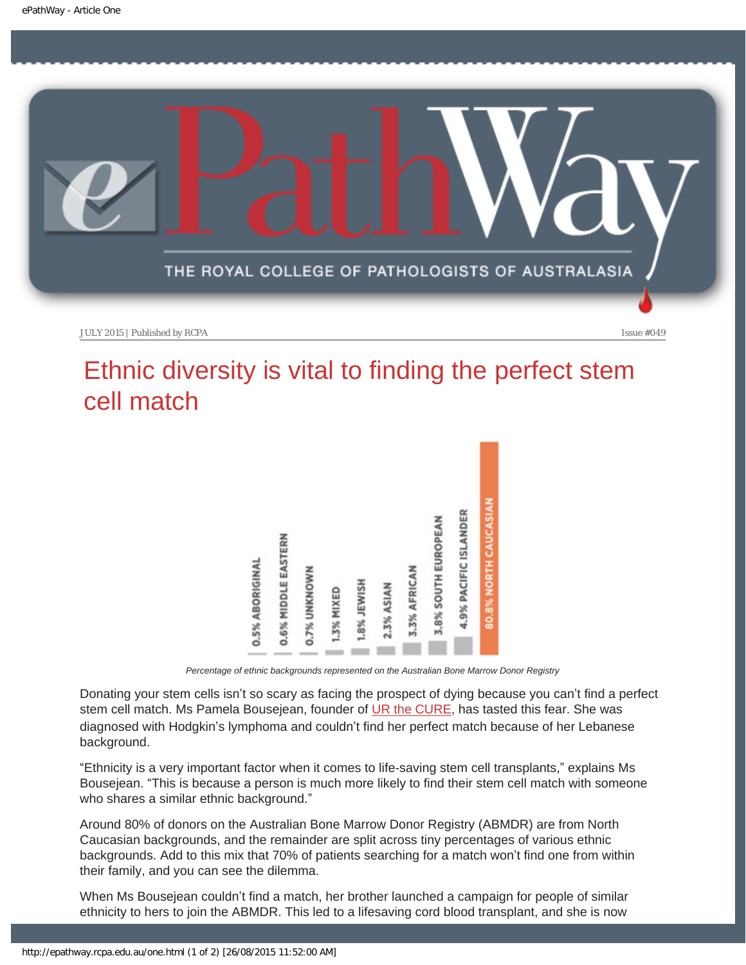<span id="page-7-0"></span>

# Ethnic diversity is vital to finding the perfect stem cell match



*Percentage of ethnic backgrounds represented on the Australian Bone Marrow Donor Registry*

Donating your stem cells isn't so scary as facing the prospect of dying because you can't find a perfect stem cell match. Ms Pamela Bousejean, founder of [UR the CURE,](http://www.urthecure.com.au/) has tasted this fear. She was diagnosed with Hodgkin's lymphoma and couldn't find her perfect match because of her Lebanese background.

"Ethnicity is a very important factor when it comes to life-saving stem cell transplants," explains Ms Bousejean. "This is because a person is much more likely to find their stem cell match with someone who shares a similar ethnic background."

Around 80% of donors on the Australian Bone Marrow Donor Registry (ABMDR) are from North Caucasian backgrounds, and the remainder are split across tiny percentages of various ethnic backgrounds. Add to this mix that 70% of patients searching for a match won't find one from within their family, and you can see the dilemma.

When Ms Bousejean couldn't find a match, her brother launched a campaign for people of similar ethnicity to hers to join the ABMDR. This led to a lifesaving cord blood transplant, and she is now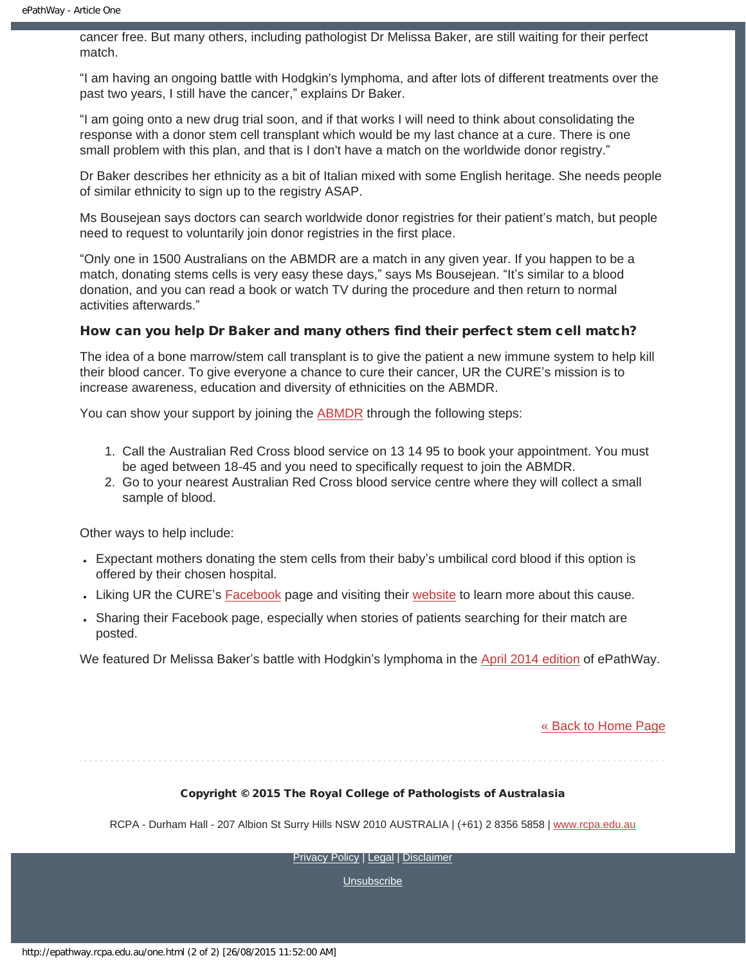cancer free. But many others, including pathologist Dr Melissa Baker, are still waiting for their perfect match.

"I am having an ongoing battle with Hodgkin's lymphoma, and after lots of different treatments over the past two years, I still have the cancer," explains Dr Baker.

"I am going onto a new drug trial soon, and if that works I will need to think about consolidating the response with a donor stem cell transplant which would be my last chance at a cure. There is one small problem with this plan, and that is I don't have a match on the worldwide donor registry."

Dr Baker describes her ethnicity as a bit of Italian mixed with some English heritage. She needs people of similar ethnicity to sign up to the registry ASAP.

Ms Bousejean says doctors can search worldwide donor registries for their patient's match, but people need to request to voluntarily join donor registries in the first place.

"Only one in 1500 Australians on the ABMDR are a match in any given year. If you happen to be a match, donating stems cells is very easy these days," says Ms Bousejean. "It's similar to a blood donation, and you can read a book or watch TV during the procedure and then return to normal activities afterwards."

#### How can you help Dr Baker and many others find their perfect stem cell match?

The idea of a bone marrow/stem call transplant is to give the patient a new immune system to help kill their blood cancer. To give everyone a chance to cure their cancer, UR the CURE's mission is to increase awareness, education and diversity of ethnicities on the ABMDR.

You can show your support by joining the **ABMDR** through the following steps:

- 1. Call the Australian Red Cross blood service on 13 14 95 to book your appointment. You must be aged between 18-45 and you need to specifically request to join the ABMDR.
- 2. Go to your nearest Australian Red Cross blood service centre where they will collect a small sample of blood.

Other ways to help include:

- Expectant mothers donating the stem cells from their baby's umbilical cord blood if this option is offered by their chosen hospital.
- Liking UR the CURE's [Facebook](https://www.facebook.com/curepamela) page and visiting their [website](http://www.urthecure.com.au/) to learn more about this cause.
- Sharing their Facebook page, especially when stories of patients searching for their match are posted.

We featured Dr Melissa Baker's battle with Hodgkin's lymphoma in the [April 2014 edition](https://www.rcpa.edu.au/getattachment/fa099cdb-11db-4c3c-a118-c1afe3293c90/ePathway-Issue-35.aspx) of ePathWay.

[« Back to Home Page](http://epathway.rcpa.edu.au/index.html)

#### Copyright © 2015 The Royal College of Pathologists of Australasia

RCPA - Durham Hall - 207 Albion St Surry Hills NSW 2010 AUSTRALIA | (+61) 2 8356 5858 | [www.rcpa.edu.au](http://www.rcpa.edu.au/)

[Privacy Policy](http://www.rcpa.edu.au/Content-Library/Privacy.aspx) | [Legal](http://www.rcpa.edu.au/Legal.aspx) | [Disclaimer](http://www.rcpa.edu.au/Disclaimer.aspx)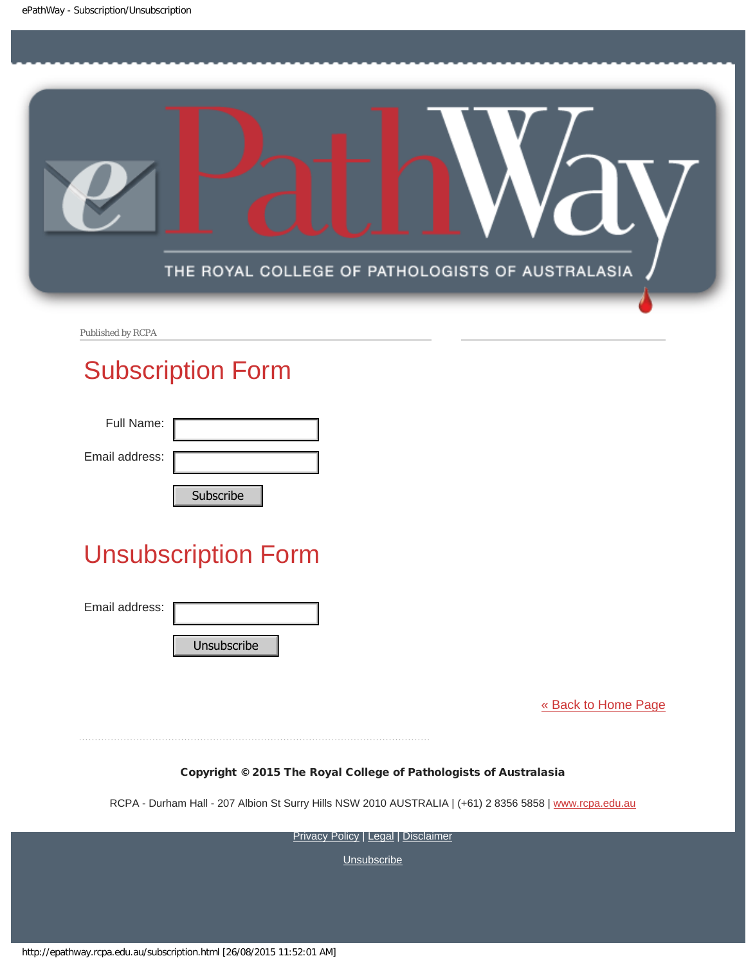<span id="page-9-0"></span>

Published by RCPA

## Subscription Form

| Full Name:     |    |
|----------------|----|
| Email address: |    |
|                | C. |

# Unsubscription Form

| Subscribe                                                              |
|------------------------------------------------------------------------|
| <b>Unsubscription Form</b>                                             |
| Email address:<br>Unsubscribe                                          |
| Copyright © 2015 The Roya                                              |
| RCPA - Durham Hall - 207 Albion St Surry Hills                         |
| <b>Privacy F</b>                                                       |
| http://epathway.rcpa.edu.au/subscription.html [26/08/2015 11:52:01 AM] |

[« Back to Home Page](http://epathway.rcpa.edu.au/index.html)

#### Copyright © 2015 The Royal College of Pathologists of Australasia

RCPA - Durham Hall - 207 Albion St Surry Hills NSW 2010 AUSTRALIA | (+61) 2 8356 5858 | [www.rcpa.edu.au](http://www.rcpa.edu.au/)

[Privacy Policy](http://www.rcpa.edu.au/Content-Library/Privacy.aspx) | [Legal](http://www.rcpa.edu.au/Legal.aspx) | [Disclaimer](http://www.rcpa.edu.au/Disclaimer.aspx)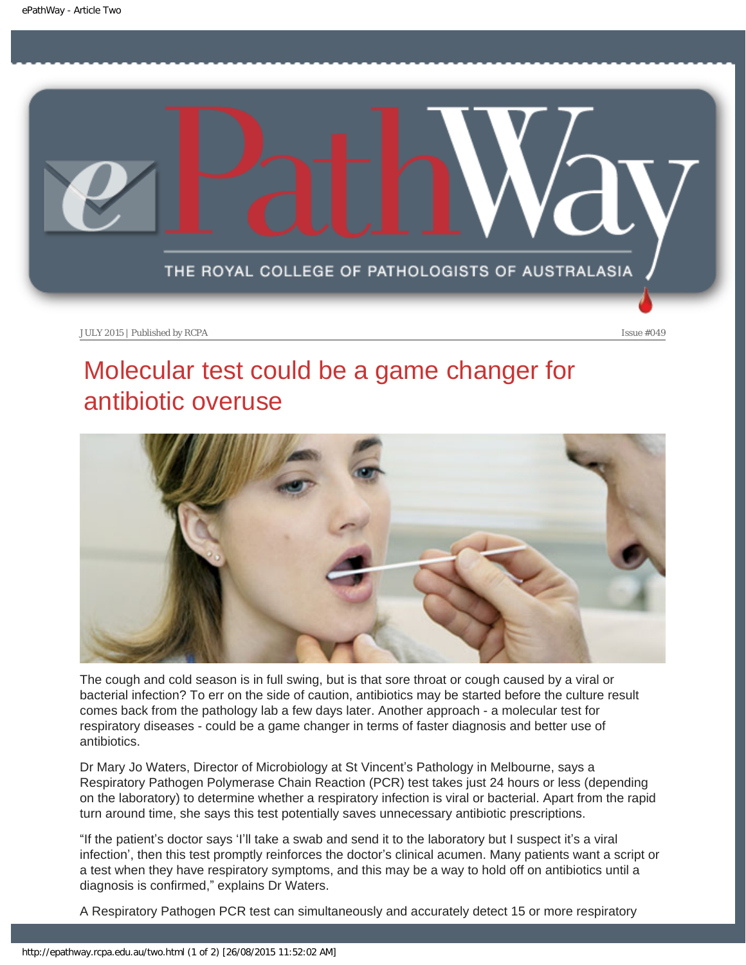<span id="page-10-0"></span>

# Molecular test could be a game changer for antibiotic overuse



The cough and cold season is in full swing, but is that sore throat or cough caused by a viral or bacterial infection? To err on the side of caution, antibiotics may be started before the culture result comes back from the pathology lab a few days later. Another approach - a molecular test for respiratory diseases - could be a game changer in terms of faster diagnosis and better use of antibiotics.

Dr Mary Jo Waters, Director of Microbiology at St Vincent's Pathology in Melbourne, says a Respiratory Pathogen Polymerase Chain Reaction (PCR) test takes just 24 hours or less (depending on the laboratory) to determine whether a respiratory infection is viral or bacterial. Apart from the rapid turn around time, she says this test potentially saves unnecessary antibiotic prescriptions.

"If the patient's doctor says 'I'll take a swab and send it to the laboratory but I suspect it's a viral infection', then this test promptly reinforces the doctor's clinical acumen. Many patients want a script or a test when they have respiratory symptoms, and this may be a way to hold off on antibiotics until a diagnosis is confirmed," explains Dr Waters.

A Respiratory Pathogen PCR test can simultaneously and accurately detect 15 or more respiratory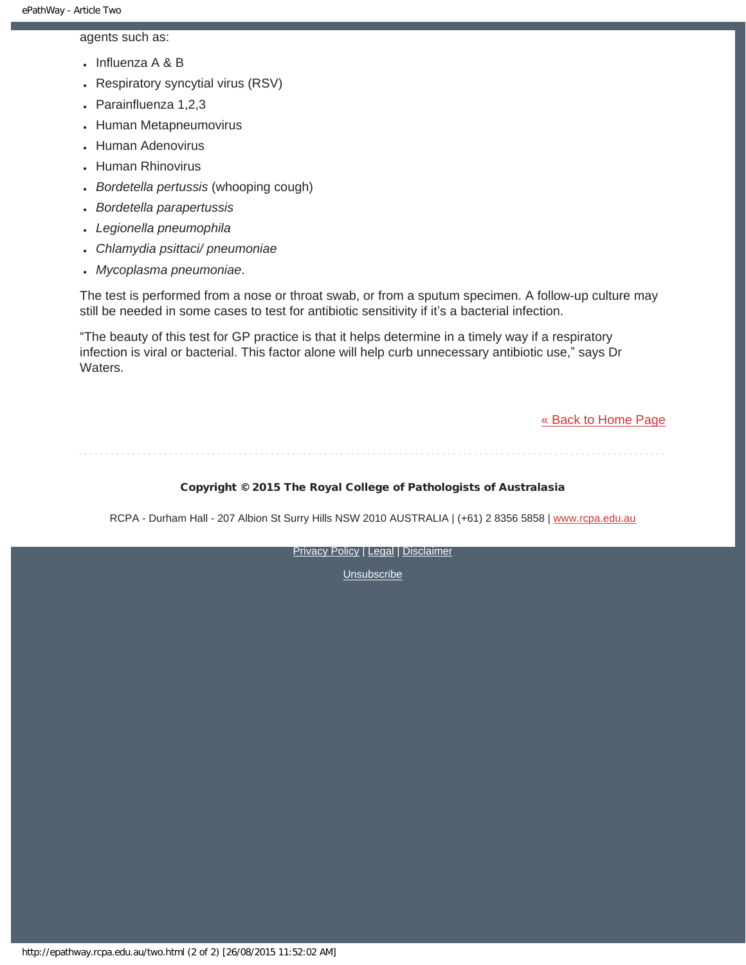agents such as:

- $\cdot$  Influenza A & B
- Respiratory syncytial virus (RSV)
- Parainfluenza 1,2,3
- Human Metapneumovirus
- Human Adenovirus
- Human Rhinovirus
- *Bordetella pertussis* (whooping cough)
- *Bordetella parapertussis*
- *Legionella pneumophila*
- *Chlamydia psittaci/ pneumoniae*
- *Mycoplasma pneumoniae*.

The test is performed from a nose or throat swab, or from a sputum specimen. A follow-up culture may still be needed in some cases to test for antibiotic sensitivity if it's a bacterial infection.

"The beauty of this test for GP practice is that it helps determine in a timely way if a respiratory infection is viral or bacterial. This factor alone will help curb unnecessary antibiotic use," says Dr Waters.

[« Back to Home Page](http://epathway.rcpa.edu.au/index.html)

#### Copyright © 2015 The Royal College of Pathologists of Australasia

RCPA - Durham Hall - 207 Albion St Surry Hills NSW 2010 AUSTRALIA | (+61) 2 8356 5858 | [www.rcpa.edu.au](http://www.rcpa.edu.au/)

[Privacy Policy](http://www.rcpa.edu.au/Content-Library/Privacy.aspx) | [Legal](http://www.rcpa.edu.au/Legal.aspx) | [Disclaimer](http://www.rcpa.edu.au/Disclaimer.aspx)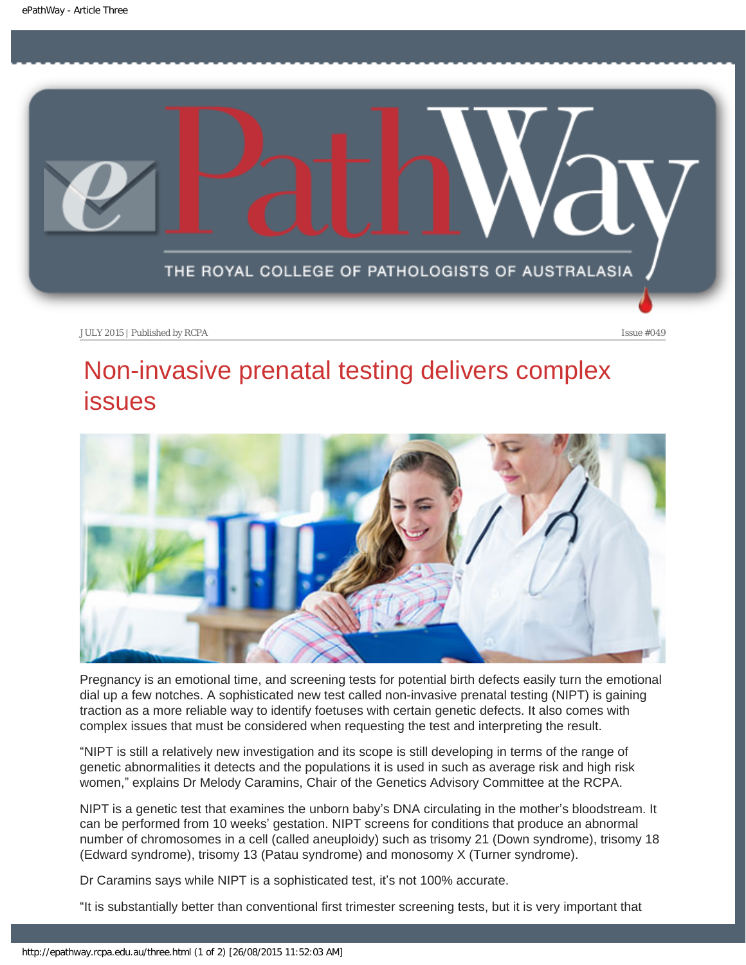<span id="page-12-0"></span>

## Non-invasive prenatal testing delivers complex issues



Pregnancy is an emotional time, and screening tests for potential birth defects easily turn the emotional dial up a few notches. A sophisticated new test called non-invasive prenatal testing (NIPT) is gaining traction as a more reliable way to identify foetuses with certain genetic defects. It also comes with complex issues that must be considered when requesting the test and interpreting the result.

"NIPT is still a relatively new investigation and its scope is still developing in terms of the range of genetic abnormalities it detects and the populations it is used in such as average risk and high risk women," explains Dr Melody Caramins, Chair of the Genetics Advisory Committee at the RCPA.

NIPT is a genetic test that examines the unborn baby's DNA circulating in the mother's bloodstream. It can be performed from 10 weeks' gestation. NIPT screens for conditions that produce an abnormal number of chromosomes in a cell (called aneuploidy) such as trisomy 21 (Down syndrome), trisomy 18 (Edward syndrome), trisomy 13 (Patau syndrome) and monosomy X (Turner syndrome).

Dr Caramins says while NIPT is a sophisticated test, it's not 100% accurate.

"It is substantially better than conventional first trimester screening tests, but it is very important that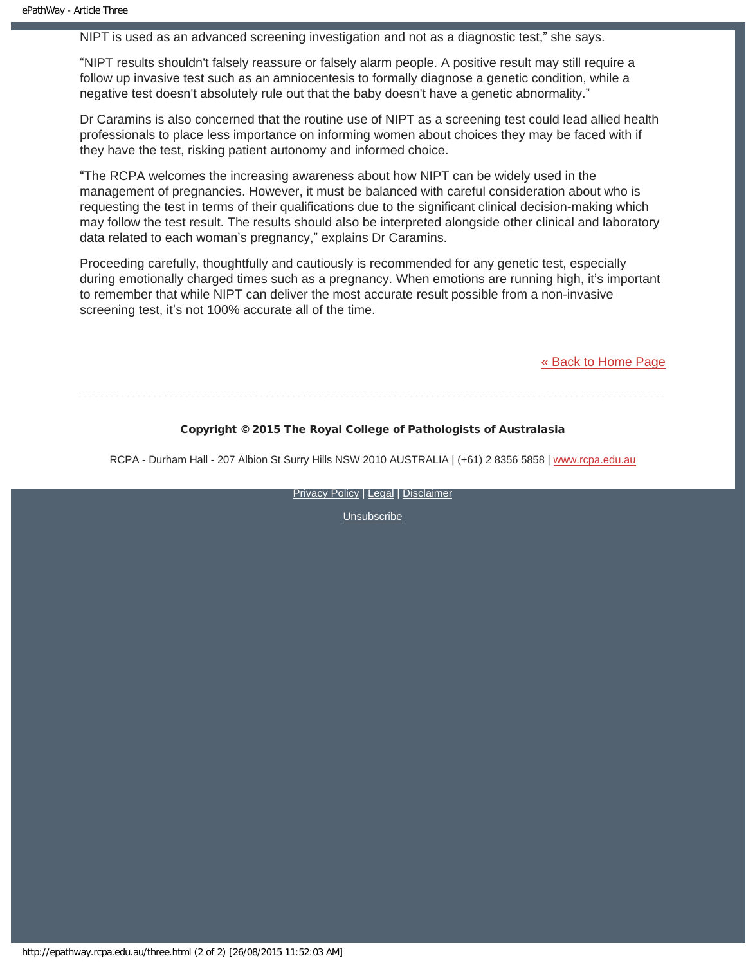NIPT is used as an advanced screening investigation and not as a diagnostic test," she says.

"NIPT results shouldn't falsely reassure or falsely alarm people. A positive result may still require a follow up invasive test such as an amniocentesis to formally diagnose a genetic condition, while a negative test doesn't absolutely rule out that the baby doesn't have a genetic abnormality."

Dr Caramins is also concerned that the routine use of NIPT as a screening test could lead allied health professionals to place less importance on informing women about choices they may be faced with if they have the test, risking patient autonomy and informed choice.

"The RCPA welcomes the increasing awareness about how NIPT can be widely used in the management of pregnancies. However, it must be balanced with careful consideration about who is requesting the test in terms of their qualifications due to the significant clinical decision-making which may follow the test result. The results should also be interpreted alongside other clinical and laboratory data related to each woman's pregnancy," explains Dr Caramins.

Proceeding carefully, thoughtfully and cautiously is recommended for any genetic test, especially during emotionally charged times such as a pregnancy. When emotions are running high, it's important to remember that while NIPT can deliver the most accurate result possible from a non-invasive screening test, it's not 100% accurate all of the time.

[« Back to Home Page](http://epathway.rcpa.edu.au/index.html)

#### Copyright © 2015 The Royal College of Pathologists of Australasia

RCPA - Durham Hall - 207 Albion St Surry Hills NSW 2010 AUSTRALIA | (+61) 2 8356 5858 | [www.rcpa.edu.au](http://www.rcpa.edu.au/)

[Privacy Policy](http://www.rcpa.edu.au/Content-Library/Privacy.aspx) | [Legal](http://www.rcpa.edu.au/Legal.aspx) | [Disclaimer](http://www.rcpa.edu.au/Disclaimer.aspx)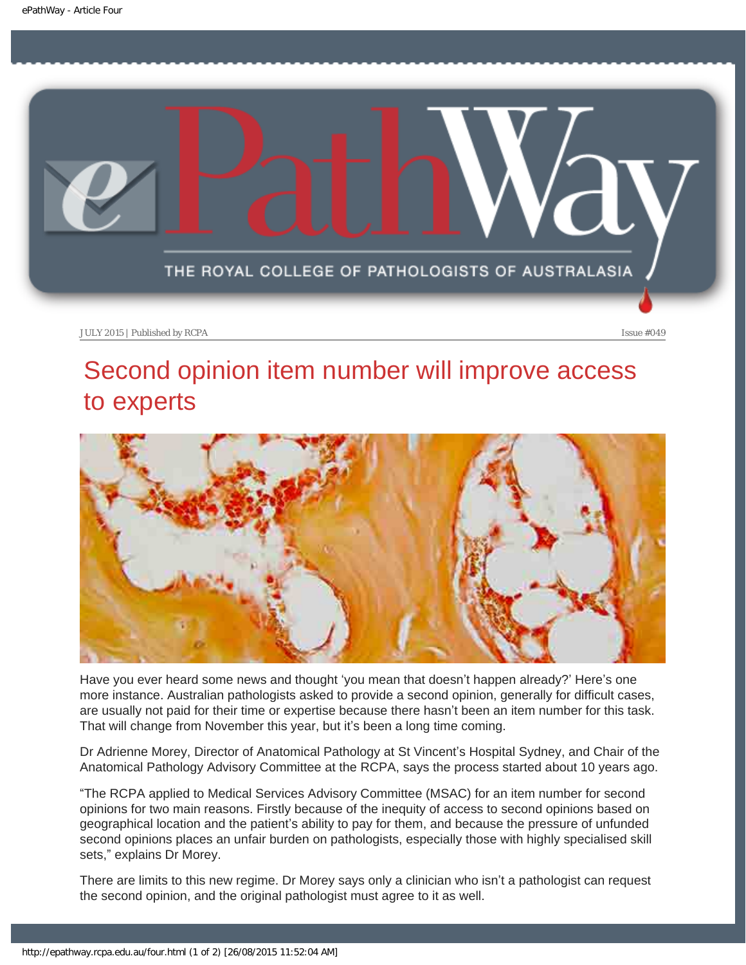<span id="page-14-0"></span>

# Second opinion item number will improve access to experts



Have you ever heard some news and thought 'you mean that doesn't happen already?' Here's one more instance. Australian pathologists asked to provide a second opinion, generally for difficult cases, are usually not paid for their time or expertise because there hasn't been an item number for this task. That will change from November this year, but it's been a long time coming.

Dr Adrienne Morey, Director of Anatomical Pathology at St Vincent's Hospital Sydney, and Chair of the Anatomical Pathology Advisory Committee at the RCPA, says the process started about 10 years ago.

"The RCPA applied to Medical Services Advisory Committee (MSAC) for an item number for second opinions for two main reasons. Firstly because of the inequity of access to second opinions based on geographical location and the patient's ability to pay for them, and because the pressure of unfunded second opinions places an unfair burden on pathologists, especially those with highly specialised skill sets," explains Dr Morey.

There are limits to this new regime. Dr Morey says only a clinician who isn't a pathologist can request the second opinion, and the original pathologist must agree to it as well.